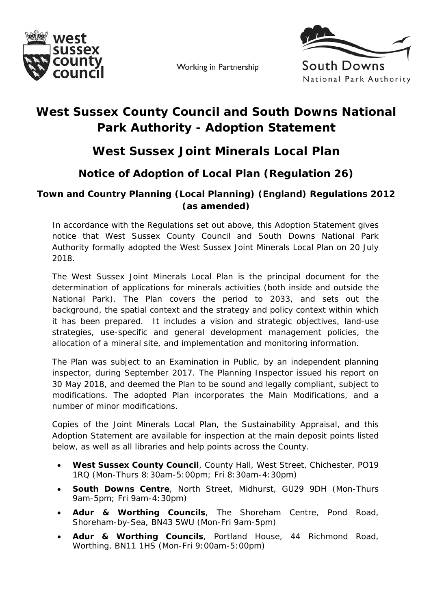

Working in Partnership



## **West Sussex County Council and South Downs National Park Authority - Adoption Statement**

## **West Sussex Joint Minerals Local Plan**

## **Notice of Adoption of Local Plan (Regulation 26)**

## **Town and Country Planning (Local Planning) (England) Regulations 2012 (as amended)**

In accordance with the Regulations set out above, this Adoption Statement gives notice that West Sussex County Council and South Downs National Park Authority formally adopted the West Sussex Joint Minerals Local Plan on 20 July 2018.

The West Sussex Joint Minerals Local Plan is the principal document for the determination of applications for minerals activities (both inside and outside the National Park). The Plan covers the period to 2033, and sets out the background, the spatial context and the strategy and policy context within which it has been prepared. It includes a vision and strategic objectives, land-use strategies, use-specific and general development management policies, the allocation of a mineral site, and implementation and monitoring information.

The Plan was subject to an Examination in Public, by an independent planning inspector, during September 2017. The Planning Inspector issued his report on 30 May 2018, and deemed the Plan to be sound and legally compliant, subject to modifications. The adopted Plan incorporates the Main Modifications, and a number of minor modifications.

Copies of the Joint Minerals Local Plan, the Sustainability Appraisal, and this Adoption Statement are available for inspection at the main deposit points listed below, as well as all libraries and help points across the County.

- **West Sussex County Council**, County Hall, West Street, Chichester, PO19 1RQ (Mon-Thurs 8:30am-5:00pm; Fri 8:30am-4:30pm)
- **South Downs Centre**, North Street, Midhurst, GU29 9DH (Mon-Thurs 9am-5pm; Fri 9am-4:30pm)
- **Adur & Worthing Councils**, The Shoreham Centre, Pond Road, Shoreham-by-Sea, BN43 5WU (Mon-Fri 9am-5pm)
- **Adur & Worthing Councils**, Portland House, 44 Richmond Road, Worthing, BN11 1HS (Mon-Fri 9:00am-5:00pm)